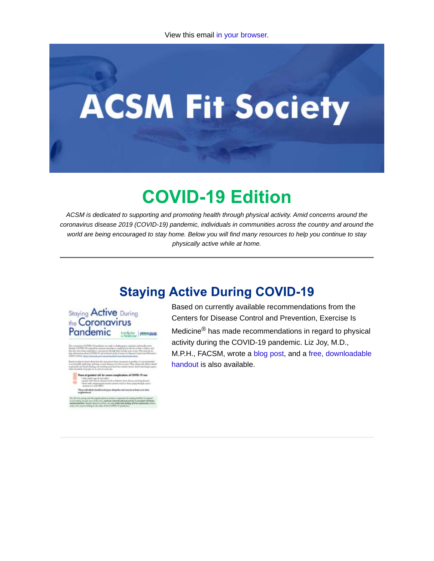# **ACSM Fit Society**

# **COVID-19 Edition**

*ACSM is dedicated to supporting and promoting health through physical activity. Amid concerns around the coronavirus disease 2019 (COVID-19) pandemic, individuals in communities across the country and around the world are being encouraged to stay home. Below you will find many resources to help you continue to stay physically active while at home.*

#### **Staying Active During COVID-19**

Staying **Active** During the Coronavirus Pandemic

Based on currently available recommendations from the Centers for Disease Control and Prevention, Exercise Is Medicine® has made recommendations in regard to physical activity during the COVID-19 pandemic. Liz Joy, M.D., M.P.H., FACSM, wrote a blog post, and a free, downloadable handout is also available.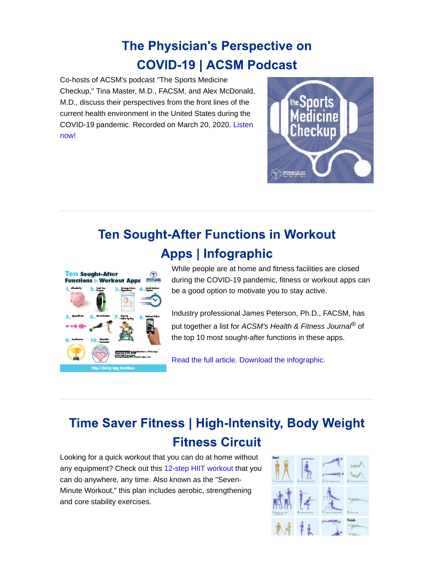#### **The Physician's Perspective on COVID-19 | ACSM Podcast**

Co-hosts of ACSM's podcast "The Sports Medicine Checkup," Tina Master, M.D., FACSM, and Alex McDonald, M.D., discuss their perspectives from the front lines of the current health environment in the United States during the COVID-19 pandemic. Recorded on March 20, 2020. Listen now!



## **Ten Sought-After Functions in Workout Apps | Infographic**



While people are at home and fitness facilities are closed during the COVID-19 pandemic, fitness or workout apps can be a good option to motivate you to stay active.

Industry professional James Peterson, Ph.D., FACSM, has put together a list for *ACSM's Health & Fitness Journal®* of the top 10 most sought-after functions in these apps.

Read the full article. Download the infographic.

### **Time Saver Fitness | High-Intensity, Body Weight Fitness Circuit**

Looking for a quick workout that you can do at home without any equipment? Check out this 12-step HIIT workout that you can do anywhere, any time. Also known as the "Seven-Minute Workout," this plan includes aerobic, strengthening and core stability exercises.